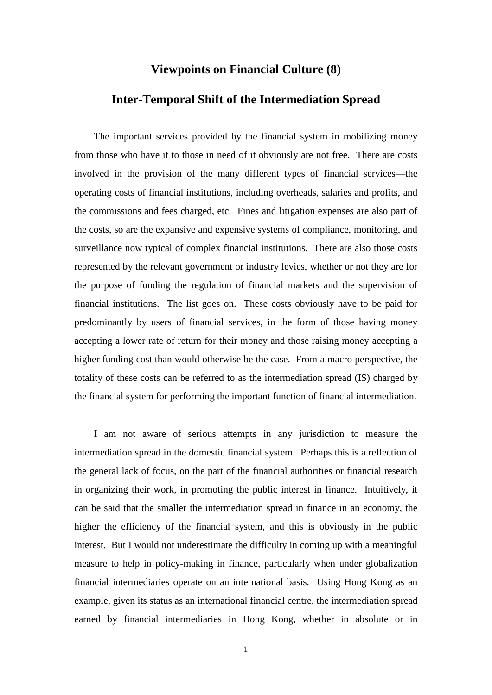## **Viewpoints on Financial Culture (8)**

## **Inter-Temporal Shift of the Intermediation Spread**

The important services provided by the financial system in mobilizing money from those who have it to those in need of it obviously are not free. There are costs involved in the provision of the many different types of financial services—the operating costs of financial institutions, including overheads, salaries and profits, and the commissions and fees charged, etc. Fines and litigation expenses are also part of the costs, so are the expansive and expensive systems of compliance, monitoring, and surveillance now typical of complex financial institutions. There are also those costs represented by the relevant government or industry levies, whether or not they are for the purpose of funding the regulation of financial markets and the supervision of financial institutions. The list goes on. These costs obviously have to be paid for predominantly by users of financial services, in the form of those having money accepting a lower rate of return for their money and those raising money accepting a higher funding cost than would otherwise be the case. From a macro perspective, the totality of these costs can be referred to as the intermediation spread (IS) charged by the financial system for performing the important function of financial intermediation.

I am not aware of serious attempts in any jurisdiction to measure the intermediation spread in the domestic financial system. Perhaps this is a reflection of the general lack of focus, on the part of the financial authorities or financial research in organizing their work, in promoting the public interest in finance. Intuitively, it can be said that the smaller the intermediation spread in finance in an economy, the higher the efficiency of the financial system, and this is obviously in the public interest. But I would not underestimate the difficulty in coming up with a meaningful measure to help in policy-making in finance, particularly when under globalization financial intermediaries operate on an international basis. Using Hong Kong as an example, given its status as an international financial centre, the intermediation spread earned by financial intermediaries in Hong Kong, whether in absolute or in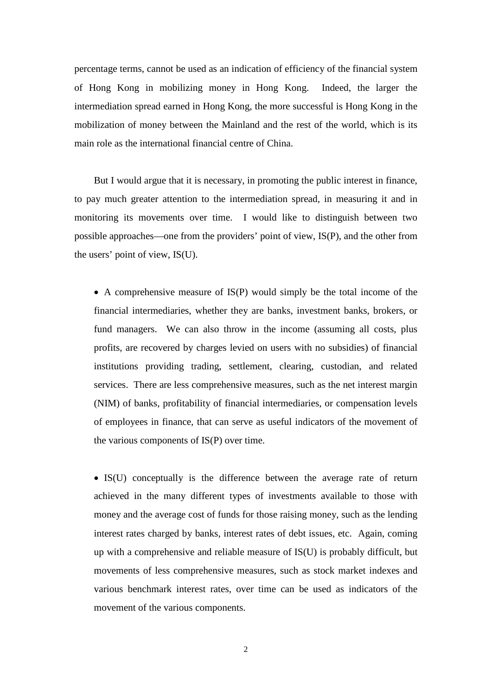percentage terms, cannot be used as an indication of efficiency of the financial system of Hong Kong in mobilizing money in Hong Kong. Indeed, the larger the intermediation spread earned in Hong Kong, the more successful is Hong Kong in the mobilization of money between the Mainland and the rest of the world, which is its main role as the international financial centre of China.

But I would argue that it is necessary, in promoting the public interest in finance, to pay much greater attention to the intermediation spread, in measuring it and in monitoring its movements over time. I would like to distinguish between two possible approaches—one from the providers' point of view, IS(P), and the other from the users' point of view, IS(U).

• A comprehensive measure of IS(P) would simply be the total income of the financial intermediaries, whether they are banks, investment banks, brokers, or fund managers. We can also throw in the income (assuming all costs, plus profits, are recovered by charges levied on users with no subsidies) of financial institutions providing trading, settlement, clearing, custodian, and related services. There are less comprehensive measures, such as the net interest margin (NIM) of banks, profitability of financial intermediaries, or compensation levels of employees in finance, that can serve as useful indicators of the movement of the various components of IS(P) over time.

• IS(U) conceptually is the difference between the average rate of return achieved in the many different types of investments available to those with money and the average cost of funds for those raising money, such as the lending interest rates charged by banks, interest rates of debt issues, etc. Again, coming up with a comprehensive and reliable measure of IS(U) is probably difficult, but movements of less comprehensive measures, such as stock market indexes and various benchmark interest rates, over time can be used as indicators of the movement of the various components.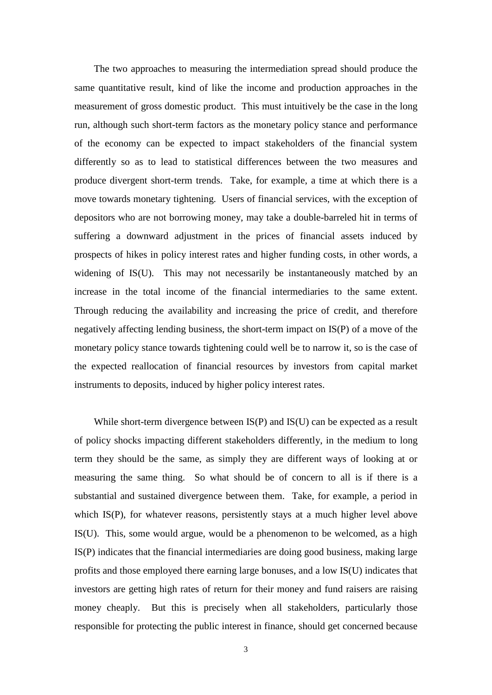The two approaches to measuring the intermediation spread should produce the same quantitative result, kind of like the income and production approaches in the measurement of gross domestic product. This must intuitively be the case in the long run, although such short-term factors as the monetary policy stance and performance of the economy can be expected to impact stakeholders of the financial system differently so as to lead to statistical differences between the two measures and produce divergent short-term trends. Take, for example, a time at which there is a move towards monetary tightening. Users of financial services, with the exception of depositors who are not borrowing money, may take a double-barreled hit in terms of suffering a downward adjustment in the prices of financial assets induced by prospects of hikes in policy interest rates and higher funding costs, in other words, a widening of IS(U). This may not necessarily be instantaneously matched by an increase in the total income of the financial intermediaries to the same extent. Through reducing the availability and increasing the price of credit, and therefore negatively affecting lending business, the short-term impact on IS(P) of a move of the monetary policy stance towards tightening could well be to narrow it, so is the case of the expected reallocation of financial resources by investors from capital market instruments to deposits, induced by higher policy interest rates.

While short-term divergence between  $IS(P)$  and  $IS(U)$  can be expected as a result of policy shocks impacting different stakeholders differently, in the medium to long term they should be the same, as simply they are different ways of looking at or measuring the same thing. So what should be of concern to all is if there is a substantial and sustained divergence between them. Take, for example, a period in which IS(P), for whatever reasons, persistently stays at a much higher level above IS(U). This, some would argue, would be a phenomenon to be welcomed, as a high IS(P) indicates that the financial intermediaries are doing good business, making large profits and those employed there earning large bonuses, and a low IS(U) indicates that investors are getting high rates of return for their money and fund raisers are raising money cheaply. But this is precisely when all stakeholders, particularly those responsible for protecting the public interest in finance, should get concerned because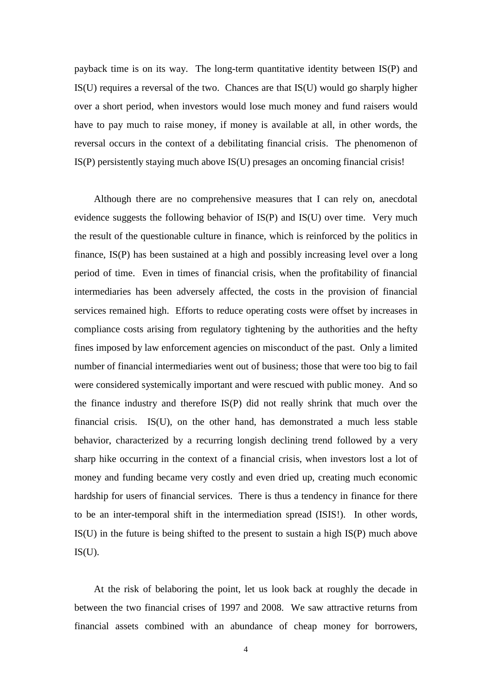payback time is on its way. The long-term quantitative identity between IS(P) and IS(U) requires a reversal of the two. Chances are that IS(U) would go sharply higher over a short period, when investors would lose much money and fund raisers would have to pay much to raise money, if money is available at all, in other words, the reversal occurs in the context of a debilitating financial crisis. The phenomenon of IS(P) persistently staying much above IS(U) presages an oncoming financial crisis!

Although there are no comprehensive measures that I can rely on, anecdotal evidence suggests the following behavior of IS(P) and IS(U) over time. Very much the result of the questionable culture in finance, which is reinforced by the politics in finance, IS(P) has been sustained at a high and possibly increasing level over a long period of time. Even in times of financial crisis, when the profitability of financial intermediaries has been adversely affected, the costs in the provision of financial services remained high. Efforts to reduce operating costs were offset by increases in compliance costs arising from regulatory tightening by the authorities and the hefty fines imposed by law enforcement agencies on misconduct of the past. Only a limited number of financial intermediaries went out of business; those that were too big to fail were considered systemically important and were rescued with public money. And so the finance industry and therefore IS(P) did not really shrink that much over the financial crisis. IS(U), on the other hand, has demonstrated a much less stable behavior, characterized by a recurring longish declining trend followed by a very sharp hike occurring in the context of a financial crisis, when investors lost a lot of money and funding became very costly and even dried up, creating much economic hardship for users of financial services. There is thus a tendency in finance for there to be an inter-temporal shift in the intermediation spread (ISIS!). In other words, IS(U) in the future is being shifted to the present to sustain a high IS(P) much above  $IS(U)$ .

At the risk of belaboring the point, let us look back at roughly the decade in between the two financial crises of 1997 and 2008. We saw attractive returns from financial assets combined with an abundance of cheap money for borrowers,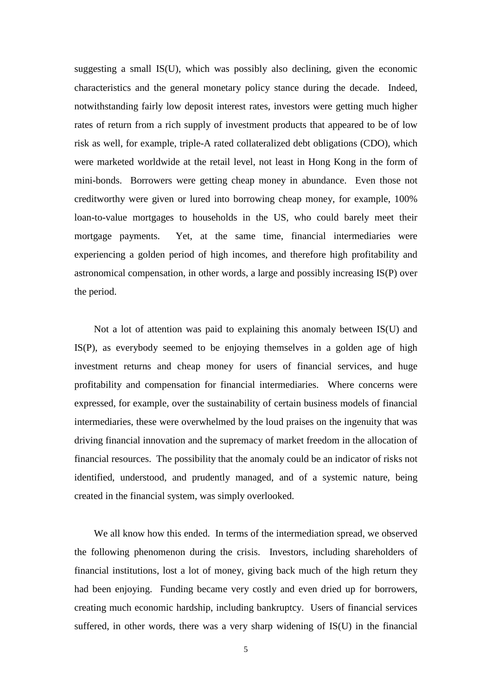suggesting a small IS(U), which was possibly also declining, given the economic characteristics and the general monetary policy stance during the decade. Indeed, notwithstanding fairly low deposit interest rates, investors were getting much higher rates of return from a rich supply of investment products that appeared to be of low risk as well, for example, triple-A rated collateralized debt obligations (CDO), which were marketed worldwide at the retail level, not least in Hong Kong in the form of mini-bonds. Borrowers were getting cheap money in abundance. Even those not creditworthy were given or lured into borrowing cheap money, for example, 100% loan-to-value mortgages to households in the US, who could barely meet their mortgage payments. Yet, at the same time, financial intermediaries were experiencing a golden period of high incomes, and therefore high profitability and astronomical compensation, in other words, a large and possibly increasing IS(P) over the period.

Not a lot of attention was paid to explaining this anomaly between IS(U) and IS(P), as everybody seemed to be enjoying themselves in a golden age of high investment returns and cheap money for users of financial services, and huge profitability and compensation for financial intermediaries. Where concerns were expressed, for example, over the sustainability of certain business models of financial intermediaries, these were overwhelmed by the loud praises on the ingenuity that was driving financial innovation and the supremacy of market freedom in the allocation of financial resources. The possibility that the anomaly could be an indicator of risks not identified, understood, and prudently managed, and of a systemic nature, being created in the financial system, was simply overlooked.

We all know how this ended. In terms of the intermediation spread, we observed the following phenomenon during the crisis. Investors, including shareholders of financial institutions, lost a lot of money, giving back much of the high return they had been enjoying. Funding became very costly and even dried up for borrowers, creating much economic hardship, including bankruptcy. Users of financial services suffered, in other words, there was a very sharp widening of IS(U) in the financial